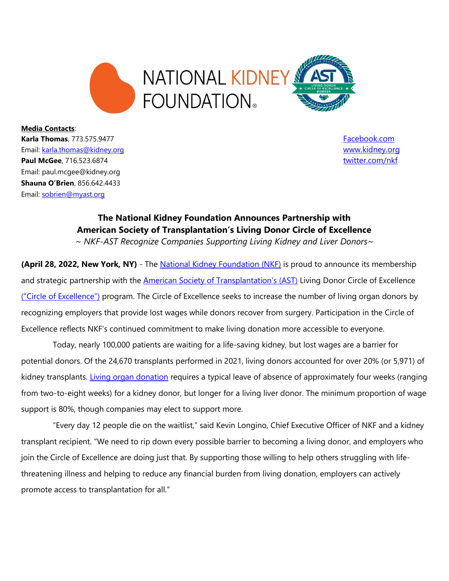

**Media Contacts**: **Karla Thomas**, 773.575.9477 **[Facebook.com](https://www.facebook.com/nationalkidneyfoundation/)** Email: [karla.thomas@kidney.org](mailto:karla.thomas@kidney.org) [www.kidney.org](http://www.kidney.org/) **Paul McGee**, 716.523.6874 [twitter.com/nkf](https://twitter.com/nkf) Email: paul.mcgee@kidney.org **Shauna O'Brien**, 856.642.4433 Email: [sobrien@myast.org](mailto:sobrien@myast.org)

## **The National Kidney Foundation Announces Partnership with American Society of Transplantation's Living Donor Circle of Excellence**

*~ NKF-AST Recognize Companies Supporting Living Kidney and Liver Donors~*

**(April 28, 2022, New York, NY)** - The **National Kidney Foundation (NKF)** is proud to announce its membership and strategic partnership with the **American Society of Transplantation's (AST)** Living Donor Circle of Excellence ("[Circle of Excellence](https://www.livingdonorcircle.com/partner/nkf)") program. The Circle of Excellence seeks to increase the number of living organ donors by recognizing employers that provide lost wages while donors recover from surgery. Participation in the Circle of Excellence reflects NKF's continued commitment to make living donation more accessible to everyone.

Today, nearly 100,000 patients are waiting for a life-saving kidney, but lost wages are a barrier for potential donors. Of the 24,670 transplants performed in 2021, living donors accounted for over 20% (or 5,971) of kidney transplants. [Living organ donation](https://www.kidney.org/transplantation/livingdonors/general-information-living-donation) requires a typical leave of absence of approximately four weeks (ranging from two-to-eight weeks) for a kidney donor, but longer for a living liver donor. The minimum proportion of wage support is 80%, though companies may elect to support more.

"Every day 12 people die on the waitlist," said Kevin Longino, Chief Executive Officer of NKF and a kidney transplant recipient. "We need to rip down every possible barrier to becoming a living donor, and employers who join the Circle of Excellence are doing just that. By supporting those willing to help others struggling with lifethreatening illness and helping to reduce any financial burden from living donation, employers can actively promote access to transplantation for all."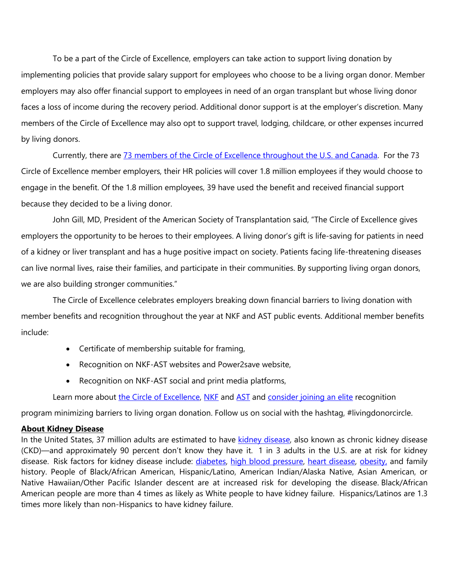To be a part of the Circle of Excellence, employers can take action to support living donation by implementing policies that provide salary support for employees who choose to be a living organ donor. Member employers may also offer financial support to employees in need of an organ transplant but whose living donor faces a loss of income during the recovery period. Additional donor support is at the employer's discretion. Many members of the Circle of Excellence may also opt to support travel, lodging, childcare, or other expenses incurred by living donors.

Currently, there are 73 [members of the Circle of Excellence throughout the U.S. and Canada.](https://www.livingdonorcircle.com/members) For the 73 Circle of Excellence member employers, their HR policies will cover 1.8 million employees if they would choose to engage in the benefit. Of the 1.8 million employees, 39 have used the benefit and received financial support because they decided to be a living donor.

John Gill, MD, President of the American Society of Transplantation said, "The Circle of Excellence gives employers the opportunity to be heroes to their employees. A living donor's gift is life-saving for patients in need of a kidney or liver transplant and has a huge positive impact on society. Patients facing life-threatening diseases can live normal lives, raise their families, and participate in their communities. By supporting living organ donors, we are also building stronger communities."

The Circle of Excellence celebrates employers breaking down financial barriers to living donation with member benefits and recognition throughout the year at NKF and AST public events. Additional member benefits include:

- Certificate of membership suitable for framing,
- Recognition on NKF-AST websites and Power2save website,
- Recognition on NKF-AST social and print media platforms,

Learn more about [the Circle](https://www.livingdonorcircle.com/partner/nkf) of Excellence, [NKF](https://www.kidney.org/) and [AST](https://www.myast.org/) and [consider joining an elite](https://txnephaccreditation.wufoo.com/forms/q1lgesnn0xksjgx/) recognition

program minimizing barriers to living organ donation. Follow us on social with the hashtag, #livingdonorcircle.

## **About Kidney Disease**

In the United States, 37 million adults are estimated to have [kidney disease,](https://www.kidney.org/news/newsroom/fsindex) also known as chronic kidney disease (CKD)—and approximately 90 percent don't know they have it. 1 in 3 adults in the U.S. are at risk for kidney disease. Risk factors for kidney disease include: *diabetes*, [high blood pressure,](https://www.kidney.org/atoz/what-high-blood-pressure) [heart disease,](https://www.kidney.org/atoz/content/heart-and-kidney-connection) [obesity,](https://www.kidney.org/atoz/content/obesewyska) and family history. People of Black/African American, Hispanic/Latino, American Indian/Alaska Native, Asian American, or Native Hawaiian/Other Pacific Islander descent are at increased risk for developing the disease. Black/African American people are more than 4 times as likely as White people to have kidney failure. Hispanics/Latinos are 1.3 times more likely than non-Hispanics to have kidney failure.